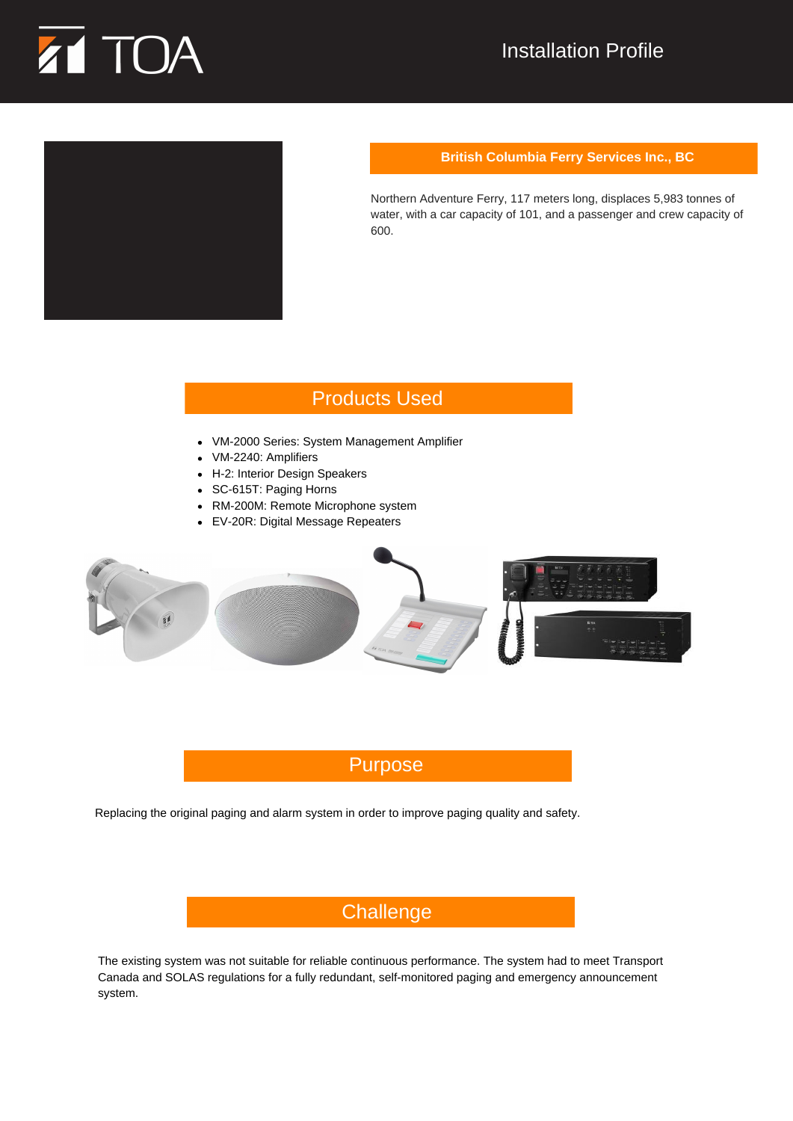

# Installation Profile



#### **British Columbia Ferry Services Inc., BC**

Northern Adventure Ferry, 117 meters long, displaces 5,983 tonnes of water, with a car capacity of 101, and a passenger and crew capacity of 600.

### Products Used

- VM‐2000 Series: System Management Amplifier  $\bullet$
- VM‐2240: Amplifiers
- H‐2: Interior Design Speakers
- SC‐615T: Paging Horns
- RM‐200M: Remote Microphone system
- EV‐20R: Digital Message Repeaters



# Purpose

Replacing the original paging and alarm system in order to improve paging quality and safety.

# **Challenge**

The existing system was not suitable for reliable continuous performance. The system had to meet Transport Canada and SOLAS regulations for a fully redundant, self‐monitored paging and emergency announcement system.